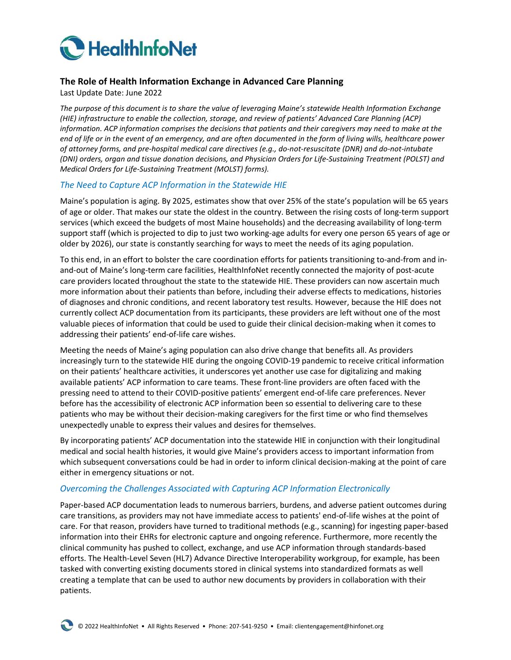

## **The Role of Health Information Exchange in Advanced Care Planning**

Last Update Date: June 2022

*The purpose of this document is to share the value of leveraging Maine's statewide Health Information Exchange (HIE) infrastructure to enable the collection, storage, and review of patients' Advanced Care Planning (ACP) information. ACP information comprises the decisions that patients and their caregivers may need to make at the end of life or in the event of an emergency, and are often documented in the form of living wills, healthcare power of attorney forms, and pre-hospital medical care directives (e.g., do-not-resuscitate (DNR) and do-not-intubate (DNI) orders, organ and tissue donation decisions, and Physician Orders for Life-Sustaining Treatment (POLST) and Medical Orders for Life-Sustaining Treatment (MOLST) forms).*

## *The Need to Capture ACP Information in the Statewide HIE*

Maine's population is aging. By 2025, estimates show that over 25% of the state's population will be 65 years of age or older. That makes our state the oldest in the country. Between the rising costs of long-term support services (which exceed the budgets of most Maine households) and the decreasing availability of long-term support staff (which is projected to dip to just two working-age adults for every one person 65 years of age or older by 2026), our state is constantly searching for ways to meet the needs of its aging population.

To this end, in an effort to bolster the care coordination efforts for patients transitioning to-and-from and inand-out of Maine's long-term care facilities, HealthInfoNet recently connected the majority of post-acute care providers located throughout the state to the statewide HIE. These providers can now ascertain much more information about their patients than before, including their adverse effects to medications, histories of diagnoses and chronic conditions, and recent laboratory test results. However, because the HIE does not currently collect ACP documentation from its participants, these providers are left without one of the most valuable pieces of information that could be used to guide their clinical decision-making when it comes to addressing their patients' end-of-life care wishes.

Meeting the needs of Maine's aging population can also drive change that benefits all. As providers increasingly turn to the statewide HIE during the ongoing COVID-19 pandemic to receive critical information on their patients' healthcare activities, it underscores yet another use case for digitalizing and making available patients' ACP information to care teams. These front-line providers are often faced with the pressing need to attend to their COVID-positive patients' emergent end-of-life care preferences. Never before has the accessibility of electronic ACP information been so essential to delivering care to these patients who may be without their decision-making caregivers for the first time or who find themselves unexpectedly unable to express their values and desires for themselves.

By incorporating patients' ACP documentation into the statewide HIE in conjunction with their longitudinal medical and social health histories, it would give Maine's providers access to important information from which subsequent conversations could be had in order to inform clinical decision-making at the point of care either in emergency situations or not.

## *Overcoming the Challenges Associated with Capturing ACP Information Electronically*

Paper-based ACP documentation leads to numerous barriers, burdens, and adverse patient outcomes during care transitions, as providers may not have immediate access to patients' end-of-life wishes at the point of care. For that reason, providers have turned to traditional methods (e.g., scanning) for ingesting paper-based information into their EHRs for electronic capture and ongoing reference. Furthermore, more recently the clinical community has pushed to collect, exchange, and use ACP information through standards-based efforts. The Health-Level Seven (HL7) Advance Directive Interoperability workgroup, for example, has been tasked with converting existing documents stored in clinical systems into standardized formats as well creating a template that can be used to author new documents by providers in collaboration with their patients.